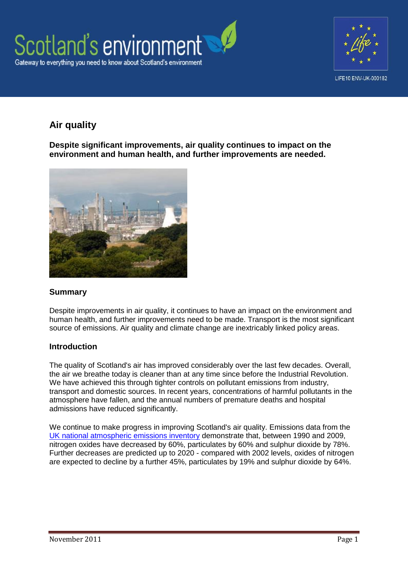



# **Air quality**

**Despite significant improvements, air quality continues to impact on the environment and human health, and further improvements are needed.**



### **Summary**

Despite improvements in air quality, it continues to have an impact on the environment and human health, and further improvements need to be made. Transport is the most significant source of emissions. Air quality and climate change are inextricably linked policy areas.

### **Introduction**

The quality of Scotland's air has improved considerably over the last few decades. Overall, the air we breathe today is cleaner than at any time since before the Industrial Revolution. We have achieved this through tighter controls on pollutant emissions from industry, transport and domestic sources. In recent years, concentrations of harmful pollutants in the atmosphere have fallen, and the annual numbers of premature deaths and hospital admissions have reduced significantly.

We continue to make progress in improving Scotland's air quality. Emissions data from the [UK national atmospheric emissions inventory](http://naei.defra.gov.uk/) demonstrate that, between 1990 and 2009, nitrogen oxides have decreased by 60%, particulates by 60% and sulphur dioxide by 78%. Further decreases are predicted up to 2020 - compared with 2002 levels, oxides of nitrogen are expected to decline by a further 45%, particulates by 19% and sulphur dioxide by 64%.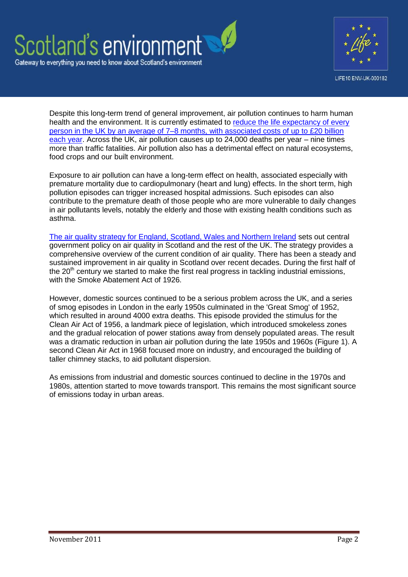



Despite this long-term trend of general improvement, air pollution continues to harm human health and the environment. It is currently estimated to reduce the life expectancy of every [person in the UK by an average of 7–8 months, with associated costs of up to £20 billion](http://www.defra.gov.uk/publications/files/pb12654-air-quality-strategy-vol1-070712.pdf)  [each year.](http://www.defra.gov.uk/publications/files/pb12654-air-quality-strategy-vol1-070712.pdf) Across the UK, air pollution causes up to 24,000 deaths per year – nine times more than traffic fatalities. Air pollution also has a detrimental effect on natural ecosystems, food crops and our built environment.

Exposure to air pollution can have a long-term effect on health, associated especially with premature mortality due to cardiopulmonary (heart and lung) effects. In the short term, high pollution episodes can trigger increased hospital admissions. Such episodes can also contribute to the premature death of those people who are more vulnerable to daily changes in air pollutants levels, notably the elderly and those with existing health conditions such as asthma.

[The air quality strategy for England, Scotland, Wales and Northern Ireland](http://www.defra.gov.uk/publications/files/pb12654-air-quality-strategy-vol1-070712.pdf) sets out central government policy on air quality in Scotland and the rest of the UK. The strategy provides a comprehensive overview of the current condition of air quality. There has been a steady and sustained improvement in air quality in Scotland over recent decades. During the first half of the  $20<sup>th</sup>$  century we started to make the first real progress in tackling industrial emissions, with the Smoke Abatement Act of 1926.

However, domestic sources continued to be a serious problem across the UK, and a series of smog episodes in London in the early 1950s culminated in the 'Great Smog' of 1952, which resulted in around 4000 extra deaths. This episode provided the stimulus for the Clean Air Act of 1956, a landmark piece of legislation, which introduced smokeless zones and the gradual relocation of power stations away from densely populated areas. The result was a dramatic reduction in urban air pollution during the late 1950s and 1960s (Figure 1). A second Clean Air Act in 1968 focused more on industry, and encouraged the building of taller chimney stacks, to aid pollutant dispersion.

As emissions from industrial and domestic sources continued to decline in the 1970s and 1980s, attention started to move towards transport. This remains the most significant source of emissions today in urban areas.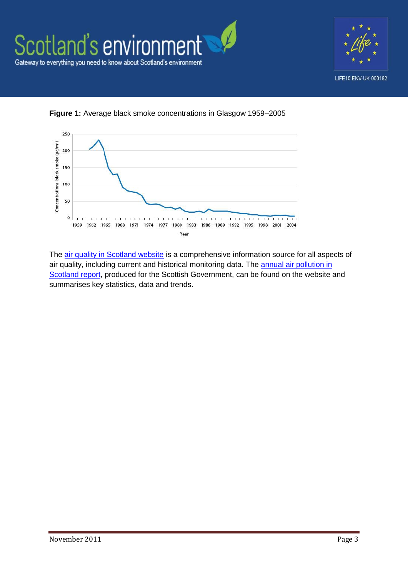



**Figure 1:** Average black smoke concentrations in Glasgow 1959–2005

The air [quality in Scotland website](http://www.scottishairquality.co.uk/index.php) is a comprehensive information source for all aspects of air quality, including current and historical monitoring data. The **annual air pollution in** [Scotland report,](http://www.scottishairquality.co.uk/documents/reports2/309110404_AQ_scot_14_lowres.pdf) produced for the Scottish Government, can be found on the website and summarises key statistics, data and trends.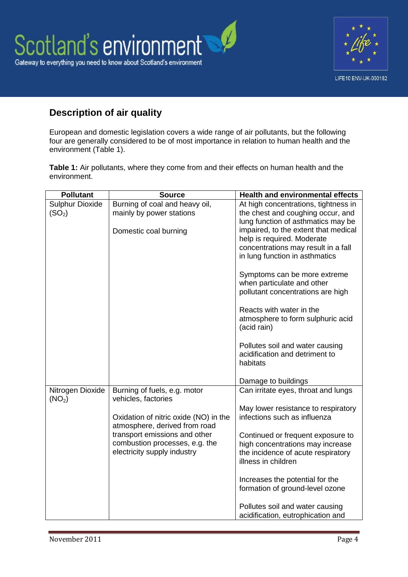



# **Description of air quality**

European and domestic legislation covers a wide range of air pollutants, but the following four are generally considered to be of most importance in relation to human health and the environment (Table 1).

**Table 1:** Air pollutants, where they come from and their effects on human health and the environment.

| <b>Pollutant</b>       | <b>Source</b>                                                  | <b>Health and environmental effects</b>                           |
|------------------------|----------------------------------------------------------------|-------------------------------------------------------------------|
| <b>Sulphur Dioxide</b> | Burning of coal and heavy oil,                                 | At high concentrations, tightness in                              |
| (SO <sub>2</sub> )     | mainly by power stations                                       | the chest and coughing occur, and                                 |
|                        |                                                                | lung function of asthmatics may be                                |
|                        | Domestic coal burning                                          | impaired, to the extent that medical                              |
|                        |                                                                | help is required. Moderate<br>concentrations may result in a fall |
|                        |                                                                | in lung function in asthmatics                                    |
|                        |                                                                |                                                                   |
|                        |                                                                | Symptoms can be more extreme                                      |
|                        |                                                                | when particulate and other                                        |
|                        |                                                                | pollutant concentrations are high                                 |
|                        |                                                                | Reacts with water in the                                          |
|                        |                                                                | atmosphere to form sulphuric acid                                 |
|                        |                                                                | (acid rain)                                                       |
|                        |                                                                | Pollutes soil and water causing                                   |
|                        |                                                                | acidification and detriment to                                    |
|                        |                                                                | habitats                                                          |
|                        |                                                                |                                                                   |
| Nitrogen Dioxide       | Burning of fuels, e.g. motor                                   | Damage to buildings<br>Can irritate eyes, throat and lungs        |
| (NO <sub>2</sub> )     | vehicles, factories                                            |                                                                   |
|                        |                                                                | May lower resistance to respiratory                               |
|                        | Oxidation of nitric oxide (NO) in the                          | infections such as influenza                                      |
|                        | atmosphere, derived from road<br>transport emissions and other | Continued or frequent exposure to                                 |
|                        | combustion processes, e.g. the                                 | high concentrations may increase                                  |
|                        | electricity supply industry                                    | the incidence of acute respiratory                                |
|                        |                                                                | illness in children                                               |
|                        |                                                                |                                                                   |
|                        |                                                                | Increases the potential for the                                   |
|                        |                                                                | formation of ground-level ozone                                   |
|                        |                                                                | Pollutes soil and water causing                                   |
|                        |                                                                | acidification, eutrophication and                                 |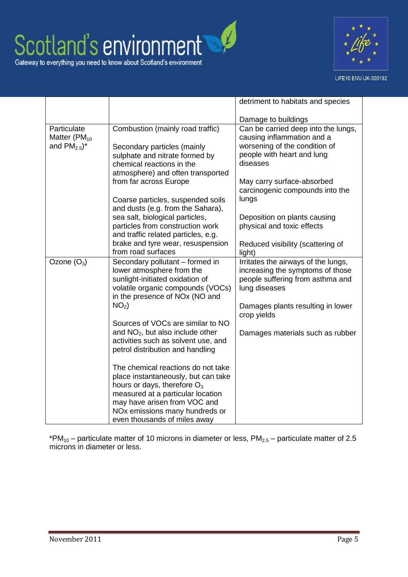



LIFE10 ENV-UK-000182

|                                                                        |                                                                                                                                                                                                                                                                | detriment to habitats and species                                                                                                                                 |
|------------------------------------------------------------------------|----------------------------------------------------------------------------------------------------------------------------------------------------------------------------------------------------------------------------------------------------------------|-------------------------------------------------------------------------------------------------------------------------------------------------------------------|
|                                                                        |                                                                                                                                                                                                                                                                | Damage to buildings                                                                                                                                               |
| Particulate<br>Matter (PM <sub>10</sub><br>and $PM_{2.5}$ <sup>*</sup> | Combustion (mainly road traffic)<br>Secondary particles (mainly<br>sulphate and nitrate formed by<br>chemical reactions in the                                                                                                                                 | Can be carried deep into the lungs,<br>causing inflammation and a<br>worsening of the condition of<br>people with heart and lung<br>diseases                      |
|                                                                        | atmosphere) and often transported<br>from far across Europe<br>Coarse particles, suspended soils<br>and dusts (e.g. from the Sahara),                                                                                                                          | May carry surface-absorbed<br>carcinogenic compounds into the<br>lungs                                                                                            |
|                                                                        | sea salt, biological particles,<br>particles from construction work<br>and traffic related particles, e.g.                                                                                                                                                     | Deposition on plants causing<br>physical and toxic effects                                                                                                        |
|                                                                        | brake and tyre wear, resuspension<br>from road surfaces                                                                                                                                                                                                        | Reduced visibility (scattering of<br>light)                                                                                                                       |
| Ozone $(O_3)$                                                          | Secondary pollutant – formed in<br>lower atmosphere from the<br>sunlight-initiated oxidation of<br>volatile organic compounds (VOCs)<br>in the presence of NOx (NO and<br>NO <sub>2</sub> )                                                                    | Irritates the airways of the lungs,<br>increasing the symptoms of those<br>people suffering from asthma and<br>lung diseases<br>Damages plants resulting in lower |
|                                                                        | Sources of VOCs are similar to NO<br>and $NO2$ , but also include other<br>activities such as solvent use, and<br>petrol distribution and handling                                                                                                             | crop yields<br>Damages materials such as rubber                                                                                                                   |
|                                                                        | The chemical reactions do not take<br>place instantaneously, but can take<br>hours or days, therefore $O_3$<br>measured at a particular location<br>may have arisen from VOC and<br>NO <sub>x</sub> emissions many hundreds or<br>even thousands of miles away |                                                                                                                                                                   |

\*PM<sub>10</sub> – particulate matter of 10 microns in diameter or less,  $PM_{2.5}$  – particulate matter of 2.5 microns in diameter or less.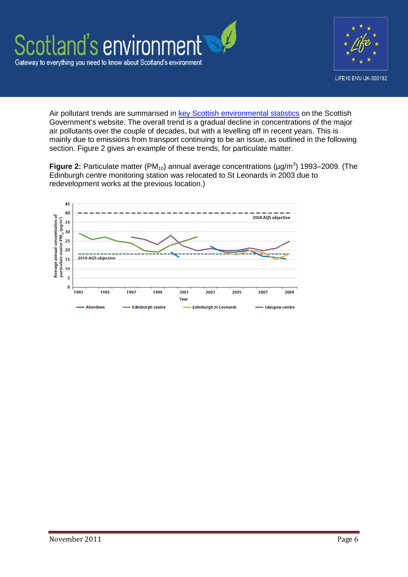

Air pollutant trends are summarised in [key Scottish environmental statistics](http://www.scotland.gov.uk/Publications/2010/09/08094058/0) on the Scottish Government's website. The overall trend is a gradual decline in concentrations of the major air pollutants over the couple of decades, but with a levelling off in recent years. This is mainly due to emissions from transport continuing to be an issue, as outlined in the following section. Figure 2 gives an example of these trends, for particulate matter.

**Figure 2:** Particulate matter (PM<sub>10</sub>) annual average concentrations ( $\mu$ g/m<sup>3</sup>) 1993–2009. (The Edinburgh centre monitoring station was relocated to St Leonards in 2003 due to redevelopment works at the previous location.)

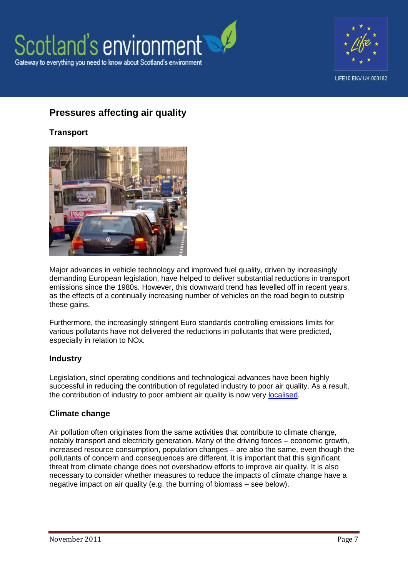



# **Pressures affecting air quality**

### **Transport**



Major advances in vehicle technology and improved fuel quality, driven by increasingly demanding European legislation, have helped to deliver substantial reductions in transport emissions since the 1980s. However, this downward trend has levelled off in recent years, as the effects of a continually increasing number of vehicles on the road begin to outstrip these gains.

Furthermore, the increasingly stringent Euro standards controlling emissions limits for various pollutants have not delivered the reductions in pollutants that were predicted, especially in relation to NOx.

#### **Industry**

Legislation, strict operating conditions and technological advances have been highly successful in reducing the contribution of regulated industry to poor air quality. As a result, the contribution of industry to poor ambient air quality is now very [localised.](http://www.sepa.org.uk/air/process_industry_regulation/pollutant_release_inventory.aspx)

#### **Climate change**

Air pollution often originates from the same activities that contribute to climate change, notably transport and electricity generation. Many of the driving forces – economic growth, increased resource consumption, population changes – are also the same, even though the pollutants of concern and consequences are different. It is important that this significant threat from climate change does not overshadow efforts to improve air quality. It is also necessary to consider whether measures to reduce the impacts of climate change have a negative impact on air quality (e.g. the burning of biomass – see below).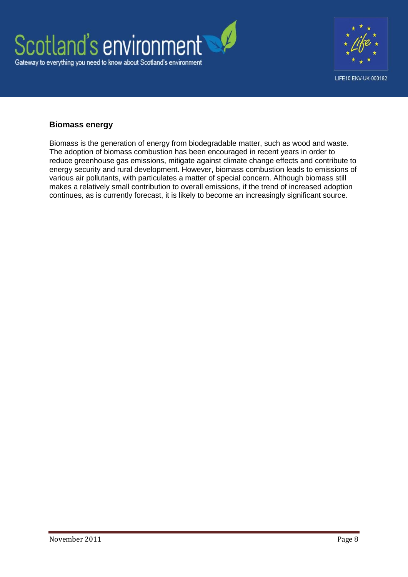



### **Biomass energy**

Biomass is the generation of energy from biodegradable matter, such as wood and waste. The adoption of biomass combustion has been encouraged in recent years in order to reduce greenhouse gas emissions, mitigate against climate change effects and contribute to energy security and rural development. However, biomass combustion leads to emissions of various air pollutants, with particulates a matter of special concern. Although biomass still makes a relatively small contribution to overall emissions, if the trend of increased adoption continues, as is currently forecast, it is likely to become an increasingly significant source.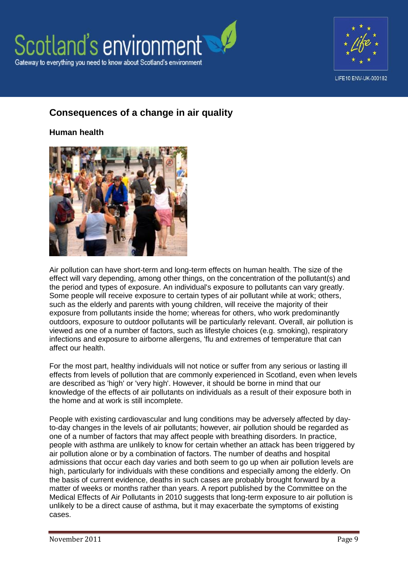



#### LIFE10 ENV-UK-000182

# **Consequences of a change in air quality**

**Human health**



Air pollution can have short-term and long-term effects on human health. The size of the effect will vary depending, among other things, on the concentration of the pollutant(s) and the period and types of exposure. An individual's exposure to pollutants can vary greatly. Some people will receive exposure to certain types of air pollutant while at work; others, such as the elderly and parents with young children, will receive the majority of their exposure from pollutants inside the home; whereas for others, who work predominantly outdoors, exposure to outdoor pollutants will be particularly relevant. Overall, air pollution is viewed as one of a number of factors, such as lifestyle choices (e.g. smoking), respiratory infections and exposure to airborne allergens, 'flu and extremes of temperature that can affect our health.

For the most part, healthy individuals will not notice or suffer from any serious or lasting ill effects from levels of pollution that are commonly experienced in Scotland, even when levels are described as 'high' or 'very high'. However, it should be borne in mind that our knowledge of the effects of air pollutants on individuals as a result of their exposure both in the home and at work is still incomplete.

People with existing cardiovascular and lung conditions may be adversely affected by dayto-day changes in the levels of air pollutants; however, air pollution should be regarded as one of a number of factors that may affect people with breathing disorders. In practice, people with asthma are unlikely to know for certain whether an attack has been triggered by air pollution alone or by a combination of factors. The number of deaths and hospital admissions that occur each day varies and both seem to go up when air pollution levels are high, particularly for individuals with these conditions and especially among the elderly. On the basis of current evidence, deaths in such cases are probably brought forward by a matter of weeks or months rather than years. A report published by the Committee on the Medical Effects of Air Pollutants in 2010 suggests that long-term exposure to air pollution is unlikely to be a direct cause of asthma, but it may exacerbate the symptoms of existing cases.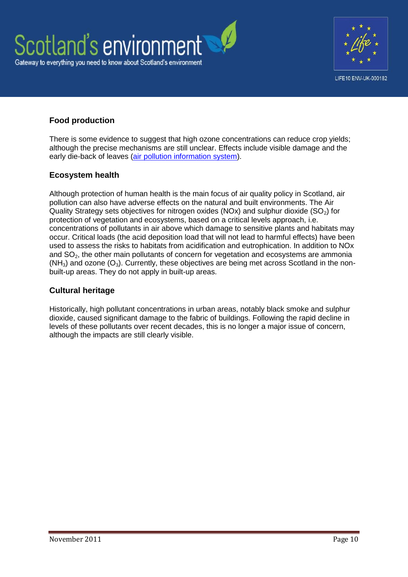



## **Food production**

There is some evidence to suggest that high ozone concentrations can reduce crop yields; although the precise mechanisms are still unclear. Effects include visible damage and the early die-back of leaves [\(air pollution information system\)](http://www.apis.ac.uk/overview/pollutants/overview_O3.htm).

### **Ecosystem health**

Although protection of human health is the main focus of air quality policy in Scotland, air pollution can also have adverse effects on the natural and built environments. The Air Quality Strategy sets objectives for nitrogen oxides (NOx) and sulphur dioxide (SO<sub>2</sub>) for protection of vegetation and ecosystems, based on a critical levels approach, i.e. concentrations of pollutants in air above which damage to sensitive plants and habitats may occur. Critical loads (the acid deposition load that will not lead to harmful effects) have been used to assess the risks to habitats from acidification and eutrophication. In addition to NOx and  $SO<sub>2</sub>$ , the other main pollutants of concern for vegetation and ecosystems are ammonia  $(NH<sub>3</sub>)$  and ozone  $(O<sub>3</sub>)$ . Currently, these objectives are being met across Scotland in the nonbuilt-up areas. They do not apply in built-up areas.

### **Cultural heritage**

Historically, high pollutant concentrations in urban areas, notably black smoke and sulphur dioxide, caused significant damage to the fabric of buildings. Following the rapid decline in levels of these pollutants over recent decades, this is no longer a major issue of concern, although the impacts are still clearly visible.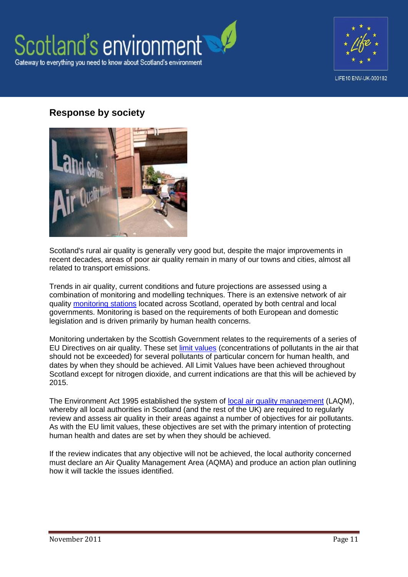



# **Response by society**



Scotland's rural air quality is generally very good but, despite the major improvements in recent decades, areas of poor air quality remain in many of our towns and cities, almost all related to transport emissions.

Trends in air quality, current conditions and future projections are assessed using a combination of monitoring and modelling techniques. There is an extensive network of air quality [monitoring stations](http://www.scottishairquality.co.uk/) located across Scotland, operated by both central and local governments. Monitoring is based on the requirements of both European and domestic legislation and is driven primarily by human health concerns.

Monitoring undertaken by the Scottish Government relates to the requirements of a series of EU Directives on air quality. These set [limit values](http://www.legislation.gov.uk/ssi/2010/204/contents/made) (concentrations of pollutants in the air that should not be exceeded) for several pollutants of particular concern for human health, and dates by when they should be achieved. All Limit Values have been achieved throughout Scotland except for nitrogen dioxide, and current indications are that this will be achieved by 2015.

The Environment Act 1995 established the system of [local air quality management](http://www.scotland.gov.uk/Topics/Environment/waste-and-pollution/Pollution-1/16215/PG09) (LAQM), whereby all local authorities in Scotland (and the rest of the UK) are required to requiarly review and assess air quality in their areas against a number of objectives for air pollutants. As with the EU limit values, these objectives are set with the primary intention of protecting human health and dates are set by when they should be achieved.

If the review indicates that any objective will not be achieved, the local authority concerned must declare an Air Quality Management Area (AQMA) and produce an action plan outlining how it will tackle the issues identified.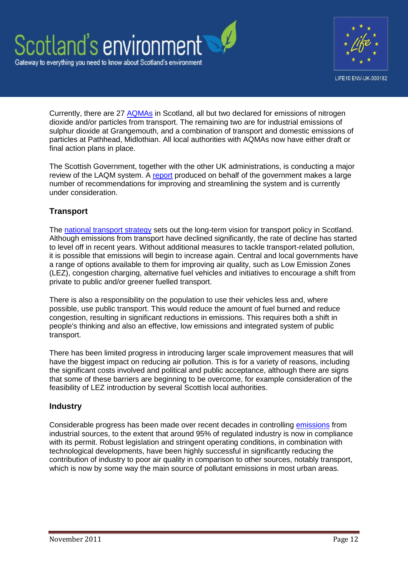



Currently, there are 27 [AQMAs](http://www.scottishairquality.co.uk/laqm.php) in Scotland, all but two declared for emissions of nitrogen dioxide and/or particles from transport. The remaining two are for industrial emissions of sulphur dioxide at Grangemouth, and a combination of transport and domestic emissions of particles at Pathhead, Midlothian. All local authorities with AQMAs now have either draft or final action plans in place.

The Scottish Government, together with the other UK administrations, is conducting a major review of the LAQM system. A [report](http://www.defra.gov.uk/environment/quality/air/air-quality/laqm/) produced on behalf of the government makes a large number of recommendations for improving and streamlining the system and is currently under consideration.

## **Transport**

The [national transport strategy](http://www.transportscotland.gov.uk/strategy-and-research/nts) sets out the long-term vision for transport policy in Scotland. Although emissions from transport have declined significantly, the rate of decline has started to level off in recent years. Without additional measures to tackle transport-related pollution, it is possible that emissions will begin to increase again. Central and local governments have a range of options available to them for improving air quality, such as Low Emission Zones (LEZ), congestion charging, alternative fuel vehicles and initiatives to encourage a shift from private to public and/or greener fuelled transport.

There is also a responsibility on the population to use their vehicles less and, where possible, use public transport. This would reduce the amount of fuel burned and reduce congestion, resulting in significant reductions in emissions. This requires both a shift in people's thinking and also an effective, low emissions and integrated system of public transport.

There has been limited progress in introducing larger scale improvement measures that will have the biggest impact on reducing air pollution. This is for a variety of reasons, including the significant costs involved and political and public acceptance, although there are signs that some of these barriers are beginning to be overcome, for example consideration of the feasibility of LEZ introduction by several Scottish local authorities.

#### **Industry**

Considerable progress has been made over recent decades in controlling [emissions](http://www.sepa.org.uk/air/process_industry_regulation/pollutant_release_inventory.aspx) from industrial sources, to the extent that around 95% of regulated industry is now in compliance with its permit. Robust legislation and stringent operating conditions, in combination with technological developments, have been highly successful in significantly reducing the contribution of industry to poor air quality in comparison to other sources, notably transport, which is now by some way the main source of pollutant emissions in most urban areas.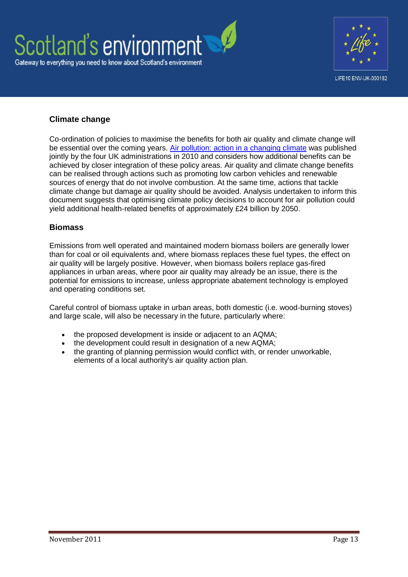



### **Climate change**

Co-ordination of policies to maximise the benefits for both air quality and climate change will be essential over the coming years. [Air pollution: action in a changing climate](http://www.defra.gov.uk/publications/2011/04/13/pb13378-air-pollution/) was published jointly by the four UK administrations in 2010 and considers how additional benefits can be achieved by closer integration of these policy areas. Air quality and climate change benefits can be realised through actions such as promoting low carbon vehicles and renewable sources of energy that do not involve combustion. At the same time, actions that tackle climate change but damage air quality should be avoided. Analysis undertaken to inform this document suggests that optimising climate policy decisions to account for air pollution could yield additional health-related benefits of approximately £24 billion by 2050.

### **Biomass**

Emissions from well operated and maintained modern biomass boilers are generally lower than for coal or oil equivalents and, where biomass replaces these fuel types, the effect on air quality will be largely positive. However, when biomass boilers replace gas-fired appliances in urban areas, where poor air quality may already be an issue, there is the potential for emissions to increase, unless appropriate abatement technology is employed and operating conditions set.

Careful control of biomass uptake in urban areas, both domestic (i.e. wood-burning stoves) and large scale, will also be necessary in the future, particularly where:

- the proposed development is inside or adjacent to an AQMA;
- the development could result in designation of a new AQMA;
- the granting of planning permission would conflict with, or render unworkable, elements of a local authority's air quality action plan.